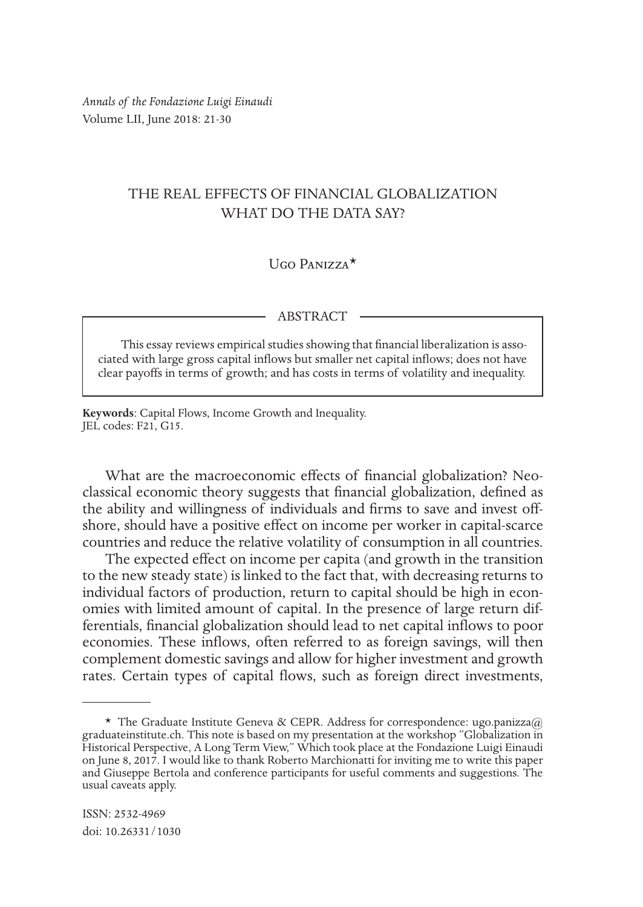*Annals of the Fondazione Luigi Einaudi* Volume LII, June 2018: 21-30

# THE REAL EFFECTS OF FINANCIAL GLOBALIZATION WHAT DO THE DATA SAY?

## $U$ go Panizza $*$

#### ABSTRACT

This essay reviews empirical studies showing that financial liberalization is associated with large gross capital inflows but smaller net capital inflows; does not have clear payoffs in terms of growth; and has costs in terms of volatility and inequality.

**Keywords**: Capital Flows, Income Growth and Inequality. JEL codes: F21, G15.

What are the macroeconomic effects of financial globalization? Neoclassical economic theory suggests that financial globalization, defined as the ability and willingness of individuals and firms to save and invest offshore, should have a positive effect on income per worker in capital-scarce countries and reduce the relative volatility of consumption in all countries.

The expected effect on income per capita (and growth in the transition to the new steady state) is linked to the fact that, with decreasing returns to individual factors of production, return to capital should be high in economies with limited amount of capital. In the presence of large return differentials, financial globalization should lead to net capital inflows to poor economies. These inflows, often referred to as foreign savings, will then complement domestic savings and allow for higher investment and growth rates. Certain types of capital flows, such as foreign direct investments,

<sup>\*</sup> The Graduate Institute Geneva & CEPR. Address for correspondence: ugo.panizza@ graduateinstitute.ch. This note is based on my presentation at the workshop "Globalization in Historical Perspective, A Long Term View," Which took place at the Fondazione Luigi Einaudi on June 8, 2017. I would like to thank Roberto Marchionatti for inviting me to write this paper and Giuseppe Bertola and conference participants for useful comments and suggestions. The usual caveats apply.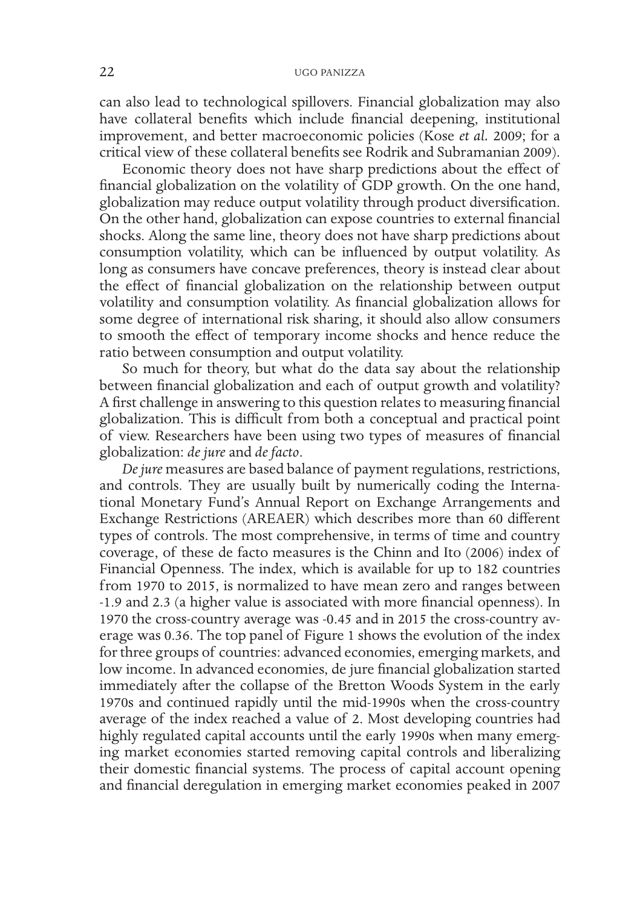can also lead to technological spillovers. Financial globalization may also have collateral benefits which include financial deepening, institutional improvement, and better macroeconomic policies (Kose *et al.* 2009; for a critical view of these collateral benefits see Rodrik and Subramanian 2009).

Economic theory does not have sharp predictions about the effect of financial globalization on the volatility of GDP growth. On the one hand, globalization may reduce output volatility through product diversification. On the other hand, globalization can expose countries to external financial shocks. Along the same line, theory does not have sharp predictions about consumption volatility, which can be influenced by output volatility. As long as consumers have concave preferences, theory is instead clear about the effect of financial globalization on the relationship between output volatility and consumption volatility. As financial globalization allows for some degree of international risk sharing, it should also allow consumers to smooth the effect of temporary income shocks and hence reduce the ratio between consumption and output volatility.

So much for theory, but what do the data say about the relationship between financial globalization and each of output growth and volatility? A first challenge in answering to this question relates to measuring financial globalization. This is difficult from both a conceptual and practical point of view. Researchers have been using two types of measures of financial globalization: *de jure* and *de facto*.

*De jure* measures are based balance of payment regulations, restrictions, and controls. They are usually built by numerically coding the International Monetary Fund's Annual Report on Exchange Arrangements and Exchange Restrictions (AREAER) which describes more than 60 different types of controls. The most comprehensive, in terms of time and country coverage, of these de facto measures is the Chinn and Ito (2006) index of Financial Openness. The index, which is available for up to 182 countries from 1970 to 2015, is normalized to have mean zero and ranges between -1.9 and 2.3 (a higher value is associated with more financial openness). In 1970 the cross-country average was -0.45 and in 2015 the cross-country average was 0.36. The top panel of Figure 1 shows the evolution of the index for three groups of countries: advanced economies, emerging markets, and low income. In advanced economies, de jure financial globalization started immediately after the collapse of the Bretton Woods System in the early 1970s and continued rapidly until the mid-1990s when the cross-country average of the index reached a value of 2. Most developing countries had highly regulated capital accounts until the early 1990s when many emerging market economies started removing capital controls and liberalizing their domestic financial systems. The process of capital account opening and financial deregulation in emerging market economies peaked in 2007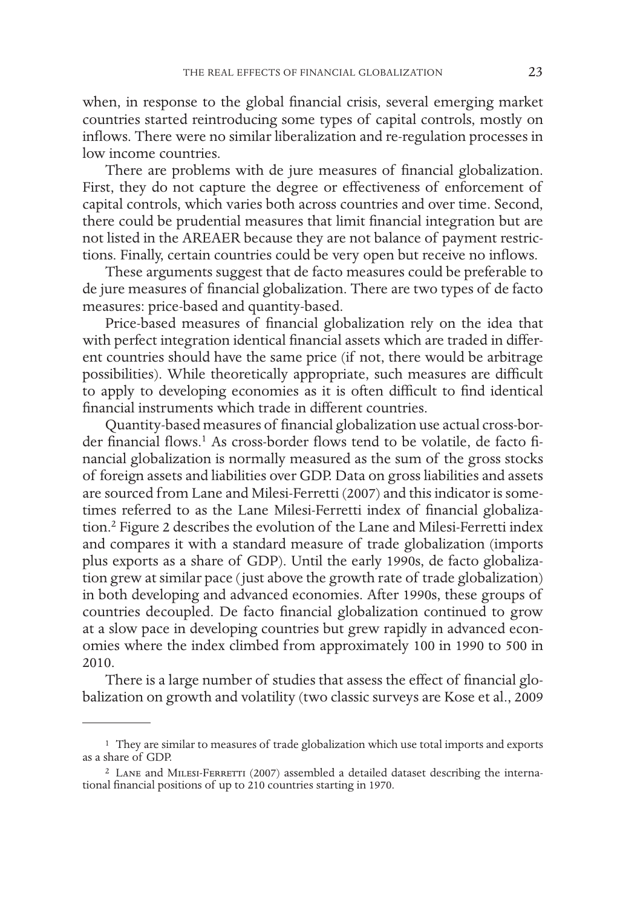when, in response to the global financial crisis, several emerging market countries started reintroducing some types of capital controls, mostly on inflows. There were no similar liberalization and re-regulation processes in low income countries.

There are problems with de jure measures of financial globalization. First, they do not capture the degree or effectiveness of enforcement of capital controls, which varies both across countries and over time. Second, there could be prudential measures that limit financial integration but are not listed in the AREAER because they are not balance of payment restrictions. Finally, certain countries could be very open but receive no inflows.

These arguments suggest that de facto measures could be preferable to de jure measures of financial globalization. There are two types of de facto measures: price-based and quantity-based.

Price-based measures of financial globalization rely on the idea that with perfect integration identical financial assets which are traded in different countries should have the same price (if not, there would be arbitrage possibilities). While theoretically appropriate, such measures are difficult to apply to developing economies as it is often difficult to find identical financial instruments which trade in different countries.

Quantity-based measures of financial globalization use actual cross-border financial flows.<sup>1</sup> As cross-border flows tend to be volatile, de facto financial globalization is normally measured as the sum of the gross stocks of foreign assets and liabilities over GDP. Data on gross liabilities and assets are sourced from Lane and Milesi-Ferretti (2007) and this indicator is sometimes referred to as the Lane Milesi-Ferretti index of financial globalization.2 Figure 2 describes the evolution of the Lane and Milesi-Ferretti index and compares it with a standard measure of trade globalization (imports plus exports as a share of GDP). Until the early 1990s, de facto globalization grew at similar pace (just above the growth rate of trade globalization) in both developing and advanced economies. After 1990s, these groups of countries decoupled. De facto financial globalization continued to grow at a slow pace in developing countries but grew rapidly in advanced economies where the index climbed from approximately 100 in 1990 to 500 in 2010.

There is a large number of studies that assess the effect of financial globalization on growth and volatility (two classic surveys are Kose et al., 2009

<sup>1</sup> They are similar to measures of trade globalization which use total imports and exports as a share of GDP.

 $2$  Lane and MILESI-FERRETTI (2007) assembled a detailed dataset describing the international financial positions of up to 210 countries starting in 1970.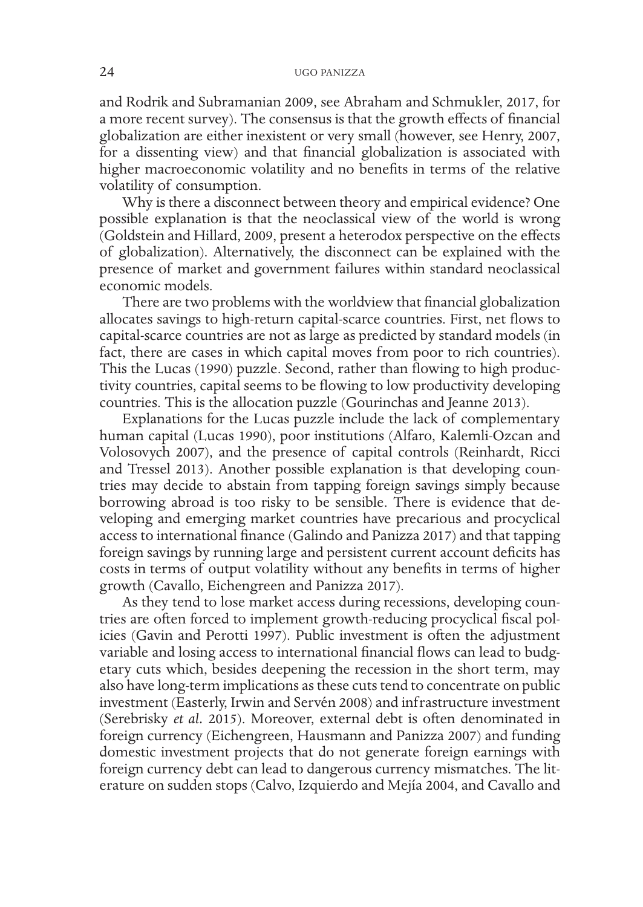and Rodrik and Subramanian 2009, see Abraham and Schmukler, 2017, for a more recent survey). The consensus is that the growth effects of financial globalization are either inexistent or very small (however, see Henry, 2007, for a dissenting view) and that financial globalization is associated with higher macroeconomic volatility and no benefits in terms of the relative volatility of consumption.

Why is there a disconnect between theory and empirical evidence? One possible explanation is that the neoclassical view of the world is wrong (Goldstein and Hillard, 2009, present a heterodox perspective on the effects of globalization). Alternatively, the disconnect can be explained with the presence of market and government failures within standard neoclassical economic models.

There are two problems with the worldview that financial globalization allocates savings to high-return capital-scarce countries. First, net flows to capital-scarce countries are not as large as predicted by standard models (in fact, there are cases in which capital moves from poor to rich countries). This the Lucas (1990) puzzle. Second, rather than flowing to high productivity countries, capital seems to be flowing to low productivity developing countries. This is the allocation puzzle (Gourinchas and Jeanne 2013).

Explanations for the Lucas puzzle include the lack of complementary human capital (Lucas 1990), poor institutions (Alfaro, Kalemli-Ozcan and Volosovych 2007), and the presence of capital controls (Reinhardt, Ricci and Tressel 2013). Another possible explanation is that developing countries may decide to abstain from tapping foreign savings simply because borrowing abroad is too risky to be sensible. There is evidence that developing and emerging market countries have precarious and procyclical access to international finance (Galindo and Panizza 2017) and that tapping foreign savings by running large and persistent current account deficits has costs in terms of output volatility without any benefits in terms of higher growth (Cavallo, Eichengreen and Panizza 2017).

As they tend to lose market access during recessions, developing countries are often forced to implement growth-reducing procyclical fiscal policies (Gavin and Perotti 1997). Public investment is often the adjustment variable and losing access to international financial flows can lead to budgetary cuts which, besides deepening the recession in the short term, may also have long-term implications as these cuts tend to concentrate on public investment (Easterly, Irwin and Servén 2008) and infrastructure investment (Serebrisky *et al.* 2015). Moreover, external debt is often denominated in foreign currency (Eichengreen, Hausmann and Panizza 2007) and funding domestic investment projects that do not generate foreign earnings with foreign currency debt can lead to dangerous currency mismatches. The literature on sudden stops (Calvo, Izquierdo and Mejía 2004, and Cavallo and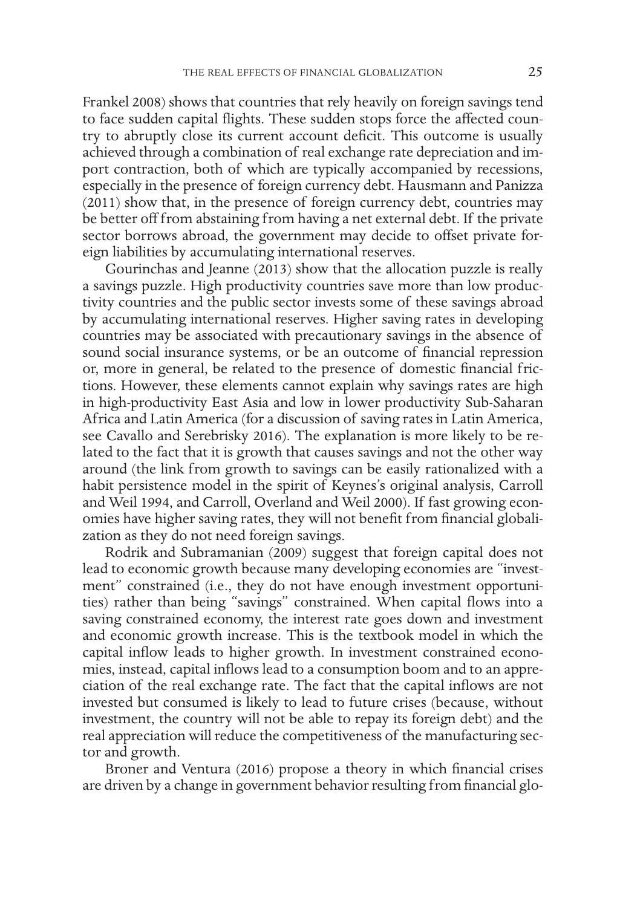Frankel 2008) shows that countries that rely heavily on foreign savings tend to face sudden capital flights. These sudden stops force the affected country to abruptly close its current account deficit. This outcome is usually achieved through a combination of real exchange rate depreciation and import contraction, both of which are typically accompanied by recessions, especially in the presence of foreign currency debt. Hausmann and Panizza (2011) show that, in the presence of foreign currency debt, countries may be better off from abstaining from having a net external debt. If the private sector borrows abroad, the government may decide to offset private foreign liabilities by accumulating international reserves.

Gourinchas and Jeanne (2013) show that the allocation puzzle is really a savings puzzle. High productivity countries save more than low productivity countries and the public sector invests some of these savings abroad by accumulating international reserves. Higher saving rates in developing countries may be associated with precautionary savings in the absence of sound social insurance systems, or be an outcome of financial repression or, more in general, be related to the presence of domestic financial frictions. However, these elements cannot explain why savings rates are high in high-productivity East Asia and low in lower productivity Sub-Saharan Africa and Latin America (for a discussion of saving rates in Latin America, see Cavallo and Serebrisky 2016). The explanation is more likely to be related to the fact that it is growth that causes savings and not the other way around (the link from growth to savings can be easily rationalized with a habit persistence model in the spirit of Keynes's original analysis, Carroll and Weil 1994, and Carroll, Overland and Weil 2000). If fast growing economies have higher saving rates, they will not benefit from financial globalization as they do not need foreign savings.

Rodrik and Subramanian (2009) suggest that foreign capital does not lead to economic growth because many developing economies are "investment" constrained (i.e., they do not have enough investment opportunities) rather than being "savings" constrained. When capital flows into a saving constrained economy, the interest rate goes down and investment and economic growth increase. This is the textbook model in which the capital inflow leads to higher growth. In investment constrained economies, instead, capital inflows lead to a consumption boom and to an appreciation of the real exchange rate. The fact that the capital inflows are not invested but consumed is likely to lead to future crises (because, without investment, the country will not be able to repay its foreign debt) and the real appreciation will reduce the competitiveness of the manufacturing sector and growth.

Broner and Ventura (2016) propose a theory in which financial crises are driven by a change in government behavior resulting from financial glo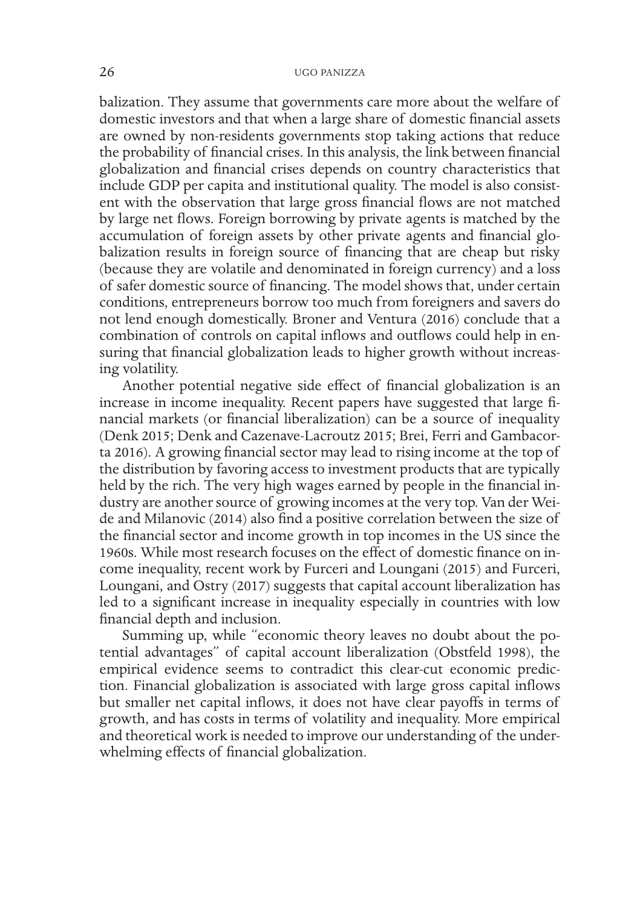balization. They assume that governments care more about the welfare of domestic investors and that when a large share of domestic financial assets are owned by non-residents governments stop taking actions that reduce the probability of financial crises. In this analysis, the link between financial globalization and financial crises depends on country characteristics that include GDP per capita and institutional quality. The model is also consistent with the observation that large gross financial flows are not matched by large net flows. Foreign borrowing by private agents is matched by the accumulation of foreign assets by other private agents and financial globalization results in foreign source of financing that are cheap but risky (because they are volatile and denominated in foreign currency) and a loss of safer domestic source of financing. The model shows that, under certain conditions, entrepreneurs borrow too much from foreigners and savers do not lend enough domestically. Broner and Ventura (2016) conclude that a combination of controls on capital inflows and outflows could help in ensuring that financial globalization leads to higher growth without increasing volatility.

Another potential negative side effect of financial globalization is an increase in income inequality. Recent papers have suggested that large financial markets (or financial liberalization) can be a source of inequality (Denk 2015; Denk and Cazenave-Lacroutz 2015; Brei, Ferri and Gambacorta 2016). A growing financial sector may lead to rising income at the top of the distribution by favoring access to investment products that are typically held by the rich. The very high wages earned by people in the financial industry are another source of growing incomes at the very top. Van der Weide and Milanovic (2014) also find a positive correlation between the size of the financial sector and income growth in top incomes in the US since the 1960s. While most research focuses on the effect of domestic finance on income inequality, recent work by Furceri and Loungani (2015) and Furceri, Loungani, and Ostry (2017) suggests that capital account liberalization has led to a significant increase in inequality especially in countries with low financial depth and inclusion.

Summing up, while "economic theory leaves no doubt about the potential advantages" of capital account liberalization (Obstfeld 1998), the empirical evidence seems to contradict this clear-cut economic prediction. Financial globalization is associated with large gross capital inflows but smaller net capital inflows, it does not have clear payoffs in terms of growth, and has costs in terms of volatility and inequality. More empirical and theoretical work is needed to improve our understanding of the underwhelming effects of financial globalization.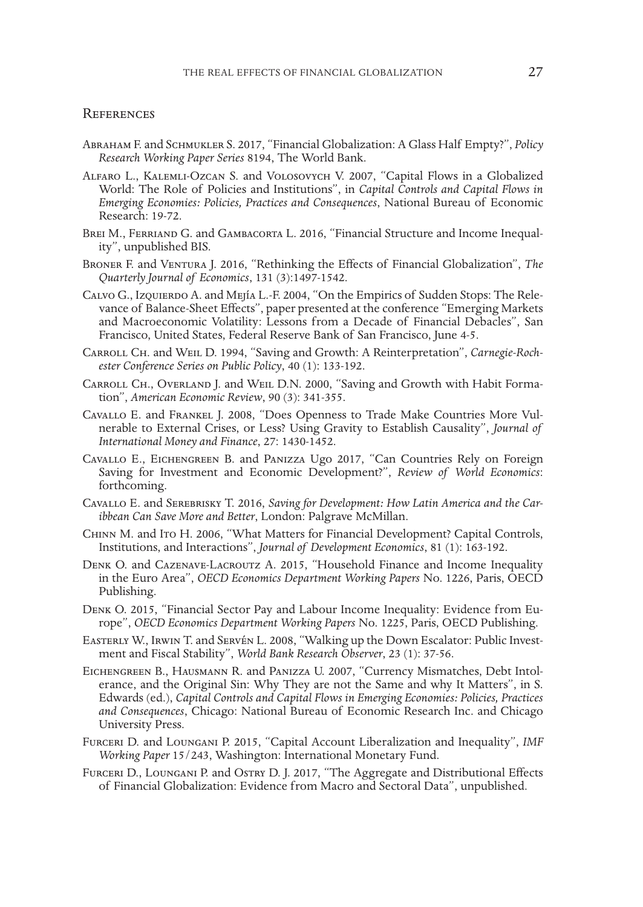#### **REFERENCES**

- Abraham F. and Schmukler S. 2017, "Financial Globalization: A Glass Half Empty?", *Policy Research Working Paper Series* 8194, The World Bank.
- Alfaro L., Kalemli-Ozcan S. and Volosovych V. 2007, "Capital Flows in a Globalized World: The Role of Policies and Institutions", in *Capital Controls and Capital Flows in Emerging Economies: Policies, Practices and Consequences*, National Bureau of Economic Research: 19-72.
- Brei M., Ferriand G. and Gambacorta L. 2016, "Financial Structure and Income Inequality", unpublished BIS.
- BRONER F. and VENTURA J. 2016, "Rethinking the Effects of Financial Globalization", *The Quarterly Journal of Economics*, 131 (3):1497-1542.
- Calvo G., Izquierdo A. and Mejía L.-F. 2004, "On the Empirics of Sudden Stops: The Relevance of Balance-Sheet Effects", paper presented at the conference "Emerging Markets and Macroeconomic Volatility: Lessons from a Decade of Financial Debacles", San Francisco, United States, Federal Reserve Bank of San Francisco, June 4-5.
- Carroll Ch. and Weil D. 1994, "Saving and Growth: A Reinterpretation", *Carnegie-Rochester Conference Series on Public Policy*, 40 (1): 133-192.
- Carroll Ch., Overland J. and Weil D.N. 2000, "Saving and Growth with Habit Formation", *American Economic Review*, 90 (3): 341-355.
- Cavallo E. and Frankel J. 2008, "Does Openness to Trade Make Countries More Vulnerable to External Crises, or Less? Using Gravity to Establish Causality", *Journal of International Money and Finance*, 27: 1430-1452.
- Cavallo E., Eichengreen B. and Panizza Ugo 2017, "Can Countries Rely on Foreign Saving for Investment and Economic Development?", *Review of World Economics*: forthcoming.
- Cavallo E. and Serebrisky T. 2016, *Saving for Development: How Latin America and the Car- ibbean Can Save More and Better*, London: Palgrave McMillan.
- Chinn M. and Ito H. 2006, "What Matters for Financial Development? Capital Controls, Institutions, and Interactions", *Journal of Development Economics*, 81 (1): 163-192.
- Denk O. and Cazenave-Lacroutz A. 2015, "Household Finance and Income Inequality in the Euro Area", *OECD Economics Department Working Papers* No. 1226, Paris, OECD Publishing.
- Denk O. 2015, "Financial Sector Pay and Labour Income Inequality: Evidence from Eu- rope", *OECD Economics Department Working Papers* No. 1225, Paris, OECD Publishing.
- Easterly W., Irwin T. and Servén L. 2008, "Walking up the Down Escalator: Public Investment and Fiscal Stability", *World Bank Research Observer*, 23 (1): 37-56.
- Eichengreen B., Hausmann R. and Panizza U. 2007, "Currency Mismatches, Debt Intolerance, and the Original Sin: Why They are not the Same and why It Matters", in S. Edwards (ed.), *Capital Controls and Capital Flows in Emerging Economies: Policies, Practices and Consequences*, Chicago: National Bureau of Economic Research Inc. and Chicago University Press.
- Furceri D. and Loungani P. 2015, "Capital Account Liberalization and Inequality", *IMF Working Paper* 15/243, Washington: International Monetary Fund.
- Furceri D., Loungani P. and Ostry D. J. 2017, "The Aggregate and Distributional Effects of Financial Globalization: Evidence from Macro and Sectoral Data", unpublished.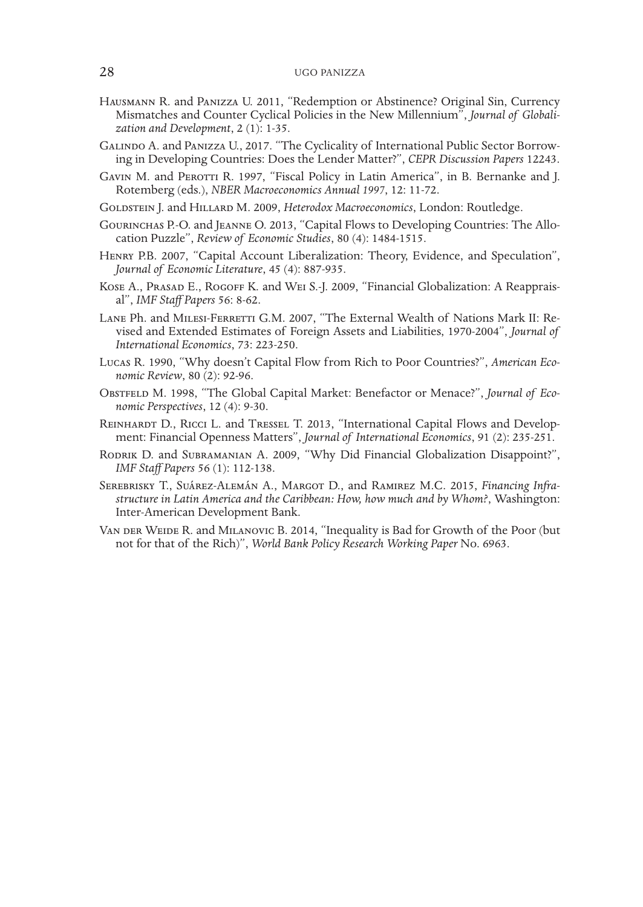### 28 UGO PANIZZA

- Hausmann R. and Panizza U. 2011, "Redemption or Abstinence? Original Sin, Currency Mismatches and Counter Cyclical Policies in the New Millennium", *Journal of Globali- zation and Development*, 2 (1): 1-35.
- Galindo A. and Panizza U., 2017. "The Cyclicality of International Public Sector Borrow- ing in Developing Countries: Does the Lender Matter?", *CEPR Discussion Papers* 12243.
- GAVIN M. and PEROTTI R. 1997, "Fiscal Policy in Latin America", in B. Bernanke and J. Rotemberg (eds.), *NBER Macroeconomics Annual 1997*, 12: 11-72.
- GOLDSTEIN J. and HILLARD M. 2009, *Heterodox Macroeconomics*, London: Routledge.
- Gourinchas P.-O. and Jeanne O. 2013, "Capital Flows to Developing Countries: The Allocation Puzzle", *Review of Economic Studies*, 80 (4): 1484-1515.
- Henry P.B. 2007, "Capital Account Liberalization: Theory, Evidence, and Speculation", *Journal of Economic Literature*, 45 (4): 887-935.
- KOSE A., PRASAD E., ROGOFF K. and WEI S.-J. 2009, "Financial Globalization: A Reappraisal", *IMF Staff Papers* 56: 8-62.
- Lane Ph. and Milesi-Ferretti G.M. 2007, "The External Wealth of Nations Mark II: Re- vised and Extended Estimates of Foreign Assets and Liabilities, 1970-2004", *Journal of International Economics*, 73: 223-250.
- Lucas R. 1990, "Why doesn't Capital Flow from Rich to Poor Countries?", *American Eco- nomic Review*, 80 (2): 92-96.
- OBSTFELD M. 1998, "The Global Capital Market: Benefactor or Menace?", *Journal of Economic Perspectives*, 12 (4): 9-30.
- REINHARDT D., RICCI L. and TRESSEL T. 2013, "International Capital Flows and Development: Financial Openness Matters", *Journal of International Economics*, 91 (2): 235-251.
- RODRIK D. and SUBRAMANIAN A. 2009, "Why Did Financial Globalization Disappoint?", *IMF Staff Papers* 56 (1): 112-138.
- Serebrisky T., Suárez-Alemán A., Margot D., and Ramirez M.C. 2015, *Financing Infrastructure in Latin America and the Caribbean: How, how much and by Whom?*, Washington: Inter-American Development Bank.
- VAN DER WEIDE R. and MILANOVIC B. 2014, "Inequality is Bad for Growth of the Poor (but not for that of the Rich)", *World Bank Policy Research Working Paper* No. 6963.